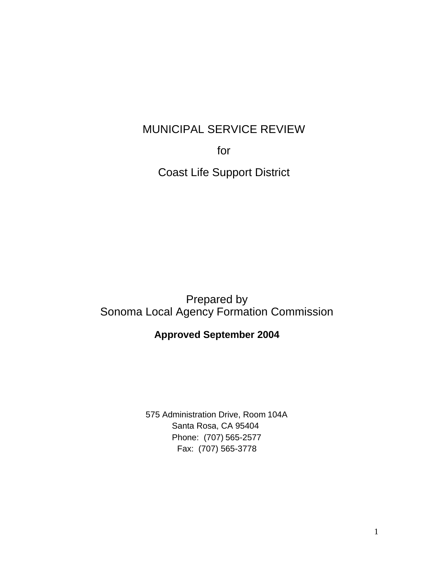# MUNICIPAL SERVICE REVIEW

for

Coast Life Support District

Prepared by Sonoma Local Agency Formation Commission

# **Approved September 2004**

575 Administration Drive, Room 104A Santa Rosa, CA 95404 Phone: (707) 565-2577 Fax: (707) 565-3778

1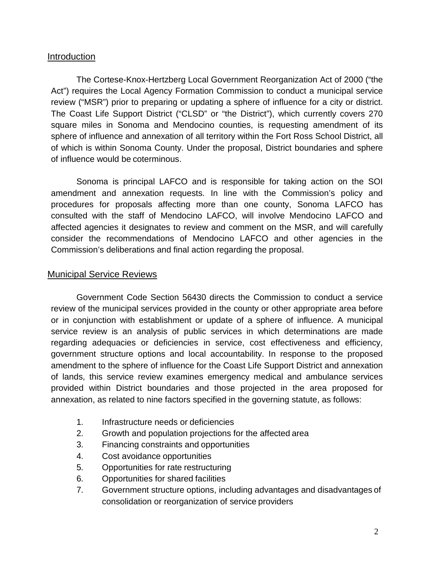## Introduction

The Cortese-Knox-Hertzberg Local Government Reorganization Act of 2000 ("the Act") requires the Local Agency Formation Commission to conduct a municipal service review ("MSR") prior to preparing or updating a sphere of influence for a city or district. The Coast Life Support District ("CLSD" or "the District"), which currently covers 270 square miles in Sonoma and Mendocino counties, is requesting amendment of its sphere of influence and annexation of all territory within the Fort Ross School District, all of which is within Sonoma County. Under the proposal, District boundaries and sphere of influence would be coterminous.

Sonoma is principal LAFCO and is responsible for taking action on the SOI amendment and annexation requests. In line with the Commission's policy and procedures for proposals affecting more than one county, Sonoma LAFCO has consulted with the staff of Mendocino LAFCO, will involve Mendocino LAFCO and affected agencies it designates to review and comment on the MSR, and will carefully consider the recommendations of Mendocino LAFCO and other agencies in the Commission's deliberations and final action regarding the proposal.

# Municipal Service Reviews

Government Code Section 56430 directs the Commission to conduct a service review of the municipal services provided in the county or other appropriate area before or in conjunction with establishment or update of a sphere of influence. A municipal service review is an analysis of public services in which determinations are made regarding adequacies or deficiencies in service, cost effectiveness and efficiency, government structure options and local accountability. In response to the proposed amendment to the sphere of influence for the Coast Life Support District and annexation of lands, this service review examines emergency medical and ambulance services provided within District boundaries and those projected in the area proposed for annexation, as related to nine factors specified in the governing statute, as follows:

- 1. Infrastructure needs or deficiencies
- 2. Growth and population projections for the affected area
- 3. Financing constraints and opportunities
- 4. Cost avoidance opportunities
- 5. Opportunities for rate restructuring
- 6. Opportunities for shared facilities
- 7. Government structure options, including advantages and disadvantages of consolidation or reorganization of service providers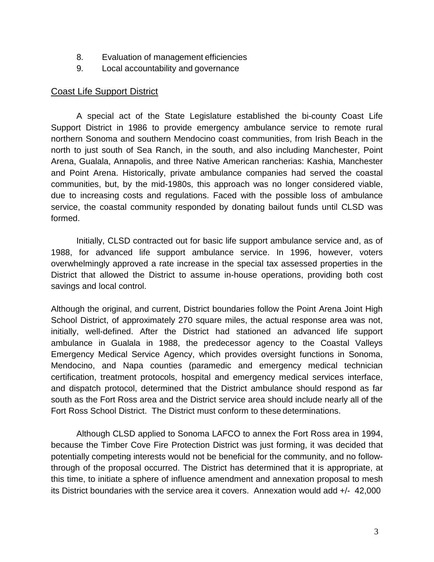- 8. Evaluation of management efficiencies
- 9. Local accountability and governance

### Coast Life Support District

A special act of the State Legislature established the bi-county Coast Life Support District in 1986 to provide emergency ambulance service to remote rural northern Sonoma and southern Mendocino coast communities, from Irish Beach in the north to just south of Sea Ranch, in the south, and also including Manchester, Point Arena, Gualala, Annapolis, and three Native American rancherias: Kashia, Manchester and Point Arena. Historically, private ambulance companies had served the coastal communities, but, by the mid-1980s, this approach was no longer considered viable, due to increasing costs and regulations. Faced with the possible loss of ambulance service, the coastal community responded by donating bailout funds until CLSD was formed.

Initially, CLSD contracted out for basic life support ambulance service and, as of 1988, for advanced life support ambulance service. In 1996, however, voters overwhelmingly approved a rate increase in the special tax assessed properties in the District that allowed the District to assume in-house operations, providing both cost savings and local control.

Although the original, and current, District boundaries follow the Point Arena Joint High School District, of approximately 270 square miles, the actual response area was not, initially, well-defined. After the District had stationed an advanced life support ambulance in Gualala in 1988, the predecessor agency to the Coastal Valleys Emergency Medical Service Agency, which provides oversight functions in Sonoma, Mendocino, and Napa counties (paramedic and emergency medical technician certification, treatment protocols, hospital and emergency medical services interface, and dispatch protocol, determined that the District ambulance should respond as far south as the Fort Ross area and the District service area should include nearly all of the Fort Ross School District. The District must conform to these determinations.

Although CLSD applied to Sonoma LAFCO to annex the Fort Ross area in 1994, because the Timber Cove Fire Protection District was just forming, it was decided that potentially competing interests would not be beneficial for the community, and no followthrough of the proposal occurred. The District has determined that it is appropriate, at this time, to initiate a sphere of influence amendment and annexation proposal to mesh its District boundaries with the service area it covers. Annexation would add +/- 42,000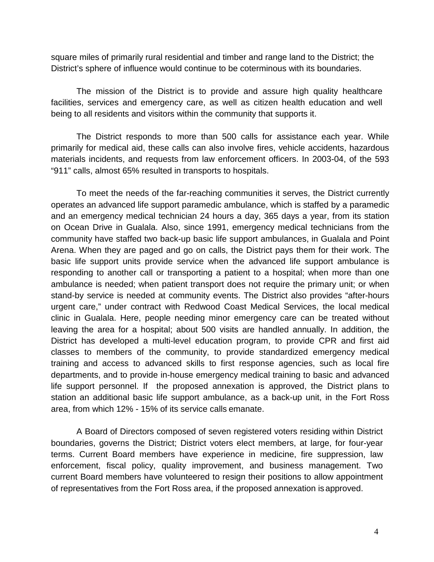square miles of primarily rural residential and timber and range land to the District; the District's sphere of influence would continue to be coterminous with its boundaries.

The mission of the District is to provide and assure high quality healthcare facilities, services and emergency care, as well as citizen health education and well being to all residents and visitors within the community that supports it.

The District responds to more than 500 calls for assistance each year. While primarily for medical aid, these calls can also involve fires, vehicle accidents, hazardous materials incidents, and requests from law enforcement officers. In 2003-04, of the 593 "911" calls, almost 65% resulted in transports to hospitals.

To meet the needs of the far-reaching communities it serves, the District currently operates an advanced life support paramedic ambulance, which is staffed by a paramedic and an emergency medical technician 24 hours a day, 365 days a year, from its station on Ocean Drive in Gualala. Also, since 1991, emergency medical technicians from the community have staffed two back-up basic life support ambulances, in Gualala and Point Arena. When they are paged and go on calls, the District pays them for their work. The basic life support units provide service when the advanced life support ambulance is responding to another call or transporting a patient to a hospital; when more than one ambulance is needed; when patient transport does not require the primary unit; or when stand-by service is needed at community events. The District also provides "after-hours urgent care," under contract with Redwood Coast Medical Services, the local medical clinic in Gualala. Here, people needing minor emergency care can be treated without leaving the area for a hospital; about 500 visits are handled annually. In addition, the District has developed a multi-level education program, to provide CPR and first aid classes to members of the community, to provide standardized emergency medical training and access to advanced skills to first response agencies, such as local fire departments, and to provide in-house emergency medical training to basic and advanced life support personnel. If the proposed annexation is approved, the District plans to station an additional basic life support ambulance, as a back-up unit, in the Fort Ross area, from which 12% - 15% of its service calls emanate.

A Board of Directors composed of seven registered voters residing within District boundaries, governs the District; District voters elect members, at large, for four-year terms. Current Board members have experience in medicine, fire suppression, law enforcement, fiscal policy, quality improvement, and business management. Two current Board members have volunteered to resign their positions to allow appointment of representatives from the Fort Ross area, if the proposed annexation isapproved.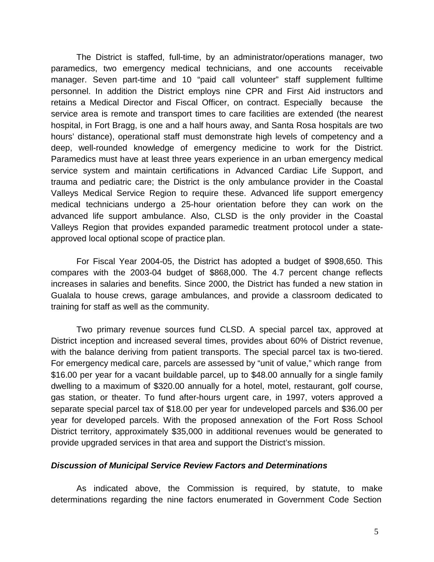The District is staffed, full-time, by an administrator/operations manager, two paramedics, two emergency medical technicians, and one accounts receivable manager. Seven part-time and 10 "paid call volunteer" staff supplement fulltime personnel. In addition the District employs nine CPR and First Aid instructors and retains a Medical Director and Fiscal Officer, on contract. Especially because the service area is remote and transport times to care facilities are extended (the nearest hospital, in Fort Bragg, is one and a half hours away, and Santa Rosa hospitals are two hours' distance), operational staff must demonstrate high levels of competency and a deep, well-rounded knowledge of emergency medicine to work for the District. Paramedics must have at least three years experience in an urban emergency medical service system and maintain certifications in Advanced Cardiac Life Support, and trauma and pediatric care; the District is the only ambulance provider in the Coastal Valleys Medical Service Region to require these. Advanced life support emergency medical technicians undergo a 25-hour orientation before they can work on the advanced life support ambulance. Also, CLSD is the only provider in the Coastal Valleys Region that provides expanded paramedic treatment protocol under a stateapproved local optional scope of practice plan.

For Fiscal Year 2004-05, the District has adopted a budget of \$908,650. This compares with the 2003-04 budget of \$868,000. The 4.7 percent change reflects increases in salaries and benefits. Since 2000, the District has funded a new station in Gualala to house crews, garage ambulances, and provide a classroom dedicated to training for staff as well as the community.

Two primary revenue sources fund CLSD. A special parcel tax, approved at District inception and increased several times, provides about 60% of District revenue, with the balance deriving from patient transports. The special parcel tax is two-tiered. For emergency medical care, parcels are assessed by "unit of value," which range from \$16.00 per year for a vacant buildable parcel, up to \$48.00 annually for a single family dwelling to a maximum of \$320.00 annually for a hotel, motel, restaurant, golf course, gas station, or theater. To fund after-hours urgent care, in 1997, voters approved a separate special parcel tax of \$18.00 per year for undeveloped parcels and \$36.00 per year for developed parcels. With the proposed annexation of the Fort Ross School District territory, approximately \$35,000 in additional revenues would be generated to provide upgraded services in that area and support the District's mission.

#### *Discussion of Municipal Service Review Factors and Determinations*

As indicated above, the Commission is required, by statute, to make determinations regarding the nine factors enumerated in Government Code Section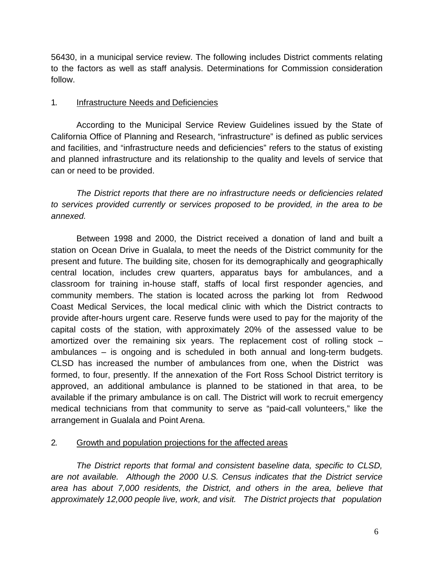56430, in a municipal service review. The following includes District comments relating to the factors as well as staff analysis. Determinations for Commission consideration follow.

#### 1. Infrastructure Needs and Deficiencies

According to the Municipal Service Review Guidelines issued by the State of California Office of Planning and Research, "infrastructure" is defined as public services and facilities, and "infrastructure needs and deficiencies" refers to the status of existing and planned infrastructure and its relationship to the quality and levels of service that can or need to be provided.

*The District reports that there are no infrastructure needs or deficiencies related to services provided currently or services proposed to be provided, in the area to be annexed.*

Between 1998 and 2000, the District received a donation of land and built a station on Ocean Drive in Gualala, to meet the needs of the District community for the present and future. The building site, chosen for its demographically and geographically central location, includes crew quarters, apparatus bays for ambulances, and a classroom for training in-house staff, staffs of local first responder agencies, and community members. The station is located across the parking lot from Redwood Coast Medical Services, the local medical clinic with which the District contracts to provide after-hours urgent care. Reserve funds were used to pay for the majority of the capital costs of the station, with approximately 20% of the assessed value to be amortized over the remaining six years. The replacement cost of rolling stock – ambulances – is ongoing and is scheduled in both annual and long-term budgets. CLSD has increased the number of ambulances from one, when the District was formed, to four, presently. If the annexation of the Fort Ross School District territory is approved, an additional ambulance is planned to be stationed in that area, to be available if the primary ambulance is on call. The District will work to recruit emergency medical technicians from that community to serve as "paid-call volunteers," like the arrangement in Gualala and Point Arena.

# 2. Growth and population projections for the affected areas

*The District reports that formal and consistent baseline data, specific to CLSD, are not available. Although the 2000 U.S. Census indicates that the District service area has about 7,000 residents, the District, and others in the area, believe that approximately 12,000 people live, work, and visit. The District projects that population*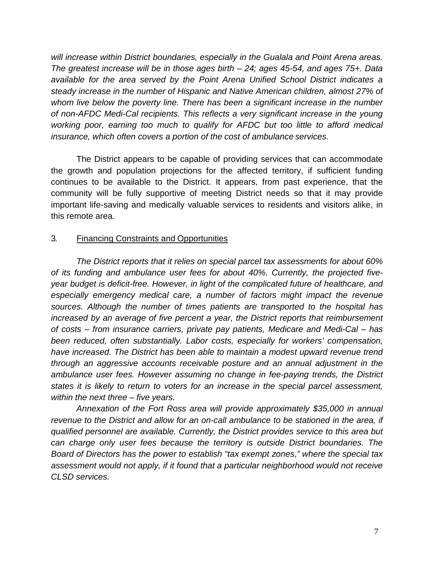*will increase within District boundaries, especially in the Gualala and Point Arena areas. The greatest increase will be in those ages birth – 24; ages 45-54, and ages 75+. Data available for the area served by the Point Arena Unified School District indicates a steady increase in the number of Hispanic and Native American children, almost 27% of whom live below the poverty line. There has been a significant increase in the number of non-AFDC Medi-Cal recipients. This reflects a very significant increase in the young working poor, earning too much to qualify for AFDC but too little to afford medical insurance, which often covers a portion of the cost of ambulance services.* 

The District appears to be capable of providing services that can accommodate the growth and population projections for the affected territory, if sufficient funding continues to be available to the District. It appears, from past experience, that the community will be fully supportive of meeting District needs so that it may provide important life-saving and medically valuable services to residents and visitors alike, in this remote area.

#### 3. Financing Constraints and Opportunities

*The District reports that it relies on special parcel tax assessments for about 60% of its funding and ambulance user fees for about 40%. Currently, the projected fiveyear budget is deficit-free. However, in light of the complicated future of healthcare, and especially emergency medical care, a number of factors might impact the revenue sources. Although the number of times patients are transported to the hospital has increased by an average of five percent a year, the District reports that reimbursement of costs – from insurance carriers, private pay patients, Medicare and Medi-Cal – has been reduced, often substantially. Labor costs, especially for workers' compensation, have increased. The District has been able to maintain a modest upward revenue trend through an aggressive accounts receivable posture and an annual adjustment in the ambulance user fees. However assuming no change in fee-paying trends, the District states it is likely to return to voters for an increase in the special parcel assessment, within the next three – five years.* 

*Annexation of the Fort Ross area will provide approximately \$35,000 in annual revenue to the District and allow for an on-call ambulance to be stationed in the area, if qualified personnel are available. Currently, the District provides service to this area but can charge only user fees because the territory is outside District boundaries. The Board of Directors has the power to establish "tax exempt zones," where the special tax assessment would not apply, if it found that a particular neighborhood would not receive CLSD services.*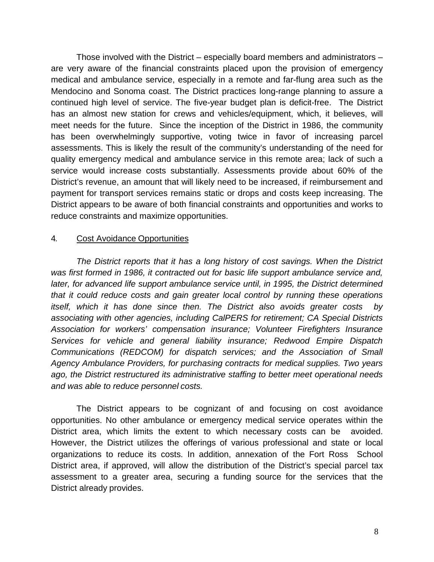Those involved with the District – especially board members and administrators – are very aware of the financial constraints placed upon the provision of emergency medical and ambulance service, especially in a remote and far-flung area such as the Mendocino and Sonoma coast. The District practices long-range planning to assure a continued high level of service. The five-year budget plan is deficit-free. The District has an almost new station for crews and vehicles/equipment, which, it believes, will meet needs for the future. Since the inception of the District in 1986, the community has been overwhelmingly supportive, voting twice in favor of increasing parcel assessments. This is likely the result of the community's understanding of the need for quality emergency medical and ambulance service in this remote area; lack of such a service would increase costs substantially. Assessments provide about 60% of the District's revenue, an amount that will likely need to be increased, if reimbursement and payment for transport services remains static or drops and costs keep increasing. The District appears to be aware of both financial constraints and opportunities and works to reduce constraints and maximize opportunities.

#### 4. Cost Avoidance Opportunities

*The District reports that it has a long history of cost savings. When the District was first formed in 1986, it contracted out for basic life support ambulance service and, later, for advanced life support ambulance service until, in 1995, the District determined that it could reduce costs and gain greater local control by running these operations itself, which it has done since then. The District also avoids greater costs by associating with other agencies, including CalPERS for retirement; CA Special Districts Association for workers' compensation insurance; Volunteer Firefighters Insurance Services for vehicle and general liability insurance; Redwood Empire Dispatch Communications (REDCOM) for dispatch services; and the Association of Small Agency Ambulance Providers, for purchasing contracts for medical supplies. Two years ago, the District restructured its administrative staffing to better meet operational needs and was able to reduce personnel costs.* 

The District appears to be cognizant of and focusing on cost avoidance opportunities. No other ambulance or emergency medical service operates within the District area, which limits the extent to which necessary costs can be avoided. However, the District utilizes the offerings of various professional and state or local organizations to reduce its costs. In addition, annexation of the Fort Ross School District area, if approved, will allow the distribution of the District's special parcel tax assessment to a greater area, securing a funding source for the services that the District already provides.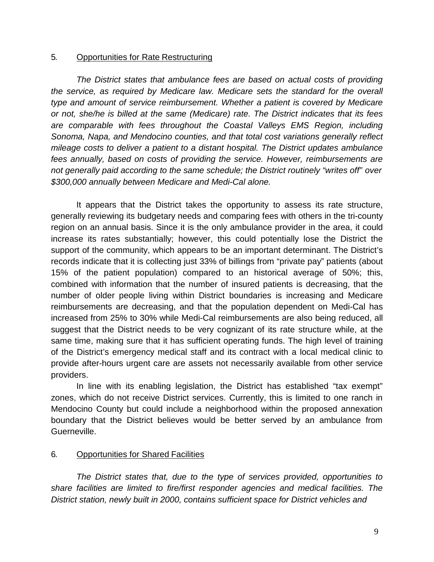#### 5. Opportunities for Rate Restructuring

*The District states that ambulance fees are based on actual costs of providing the service, as required by Medicare law. Medicare sets the standard for the overall type and amount of service reimbursement. Whether a patient is covered by Medicare or not, she/he is billed at the same (Medicare) rate. The District indicates that its fees are comparable with fees throughout the Coastal Valleys EMS Region, including Sonoma, Napa, and Mendocino counties, and that total cost variations generally reflect mileage costs to deliver a patient to a distant hospital. The District updates ambulance fees annually, based on costs of providing the service. However, reimbursements are not generally paid according to the same schedule; the District routinely "writes off" over \$300,000 annually between Medicare and Medi-Cal alone.*

It appears that the District takes the opportunity to assess its rate structure, generally reviewing its budgetary needs and comparing fees with others in the tri-county region on an annual basis. Since it is the only ambulance provider in the area, it could increase its rates substantially; however, this could potentially lose the District the support of the community, which appears to be an important determinant. The District's records indicate that it is collecting just 33% of billings from "private pay" patients (about 15% of the patient population) compared to an historical average of 50%; this, combined with information that the number of insured patients is decreasing, that the number of older people living within District boundaries is increasing and Medicare reimbursements are decreasing, and that the population dependent on Medi-Cal has increased from 25% to 30% while Medi-Cal reimbursements are also being reduced, all suggest that the District needs to be very cognizant of its rate structure while, at the same time, making sure that it has sufficient operating funds. The high level of training of the District's emergency medical staff and its contract with a local medical clinic to provide after-hours urgent care are assets not necessarily available from other service providers.

In line with its enabling legislation, the District has established "tax exempt" zones, which do not receive District services. Currently, this is limited to one ranch in Mendocino County but could include a neighborhood within the proposed annexation boundary that the District believes would be better served by an ambulance from Guerneville.

#### 6. Opportunities for Shared Facilities

*The District states that, due to the type of services provided, opportunities to share facilities are limited to fire/first responder agencies and medical facilities. The District station, newly built in 2000, contains sufficient space for District vehicles and*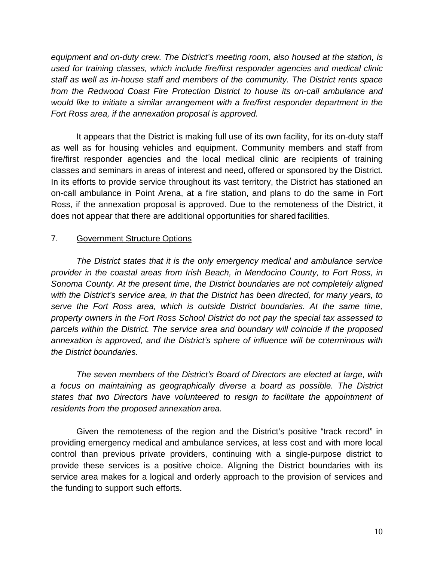*equipment and on-duty crew. The District's meeting room, also housed at the station, is used for training classes, which include fire/first responder agencies and medical clinic staff as well as in-house staff and members of the community. The District rents space from the Redwood Coast Fire Protection District to house its on-call ambulance and would like to initiate a similar arrangement with a fire/first responder department in the Fort Ross area, if the annexation proposal is approved.*

It appears that the District is making full use of its own facility, for its on-duty staff as well as for housing vehicles and equipment. Community members and staff from fire/first responder agencies and the local medical clinic are recipients of training classes and seminars in areas of interest and need, offered or sponsored by the District. In its efforts to provide service throughout its vast territory, the District has stationed an on-call ambulance in Point Arena, at a fire station, and plans to do the same in Fort Ross, if the annexation proposal is approved. Due to the remoteness of the District, it does not appear that there are additional opportunities for shared facilities.

### 7. Government Structure Options

*The District states that it is the only emergency medical and ambulance service provider in the coastal areas from Irish Beach, in Mendocino County, to Fort Ross, in Sonoma County. At the present time, the District boundaries are not completely aligned with the District's service area, in that the District has been directed, for many years, to serve the Fort Ross area, which is outside District boundaries. At the same time, property owners in the Fort Ross School District do not pay the special tax assessed to parcels within the District. The service area and boundary will coincide if the proposed annexation is approved, and the District's sphere of influence will be coterminous with the District boundaries.*

*The seven members of the District's Board of Directors are elected at large, with a focus on maintaining as geographically diverse a board as possible. The District states that two Directors have volunteered to resign to facilitate the appointment of residents from the proposed annexation area.*

Given the remoteness of the region and the District's positive "track record" in providing emergency medical and ambulance services, at less cost and with more local control than previous private providers, continuing with a single-purpose district to provide these services is a positive choice. Aligning the District boundaries with its service area makes for a logical and orderly approach to the provision of services and the funding to support such efforts.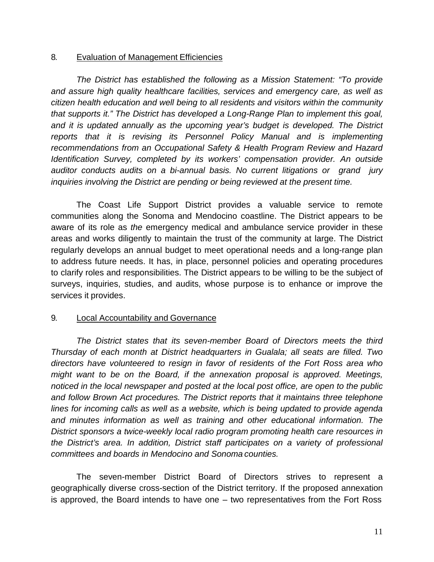#### 8. Evaluation of Management Efficiencies

*The District has established the following as a Mission Statement: "To provide and assure high quality healthcare facilities, services and emergency care, as well as citizen health education and well being to all residents and visitors within the community that supports it." The District has developed a Long-Range Plan to implement this goal,*  and it is updated annually as the upcoming year's budget is developed. The District *reports that it is revising its Personnel Policy Manual and is implementing recommendations from an Occupational Safety & Health Program Review and Hazard Identification Survey, completed by its workers' compensation provider. An outside auditor conducts audits on a bi-annual basis. No current litigations or grand jury inquiries involving the District are pending or being reviewed at the present time.*

The Coast Life Support District provides a valuable service to remote communities along the Sonoma and Mendocino coastline. The District appears to be aware of its role as *the* emergency medical and ambulance service provider in these areas and works diligently to maintain the trust of the community at large. The District regularly develops an annual budget to meet operational needs and a long-range plan to address future needs. It has, in place, personnel policies and operating procedures to clarify roles and responsibilities. The District appears to be willing to be the subject of surveys, inquiries, studies, and audits, whose purpose is to enhance or improve the services it provides.

## 9. Local Accountability and Governance

*The District states that its seven-member Board of Directors meets the third Thursday of each month at District headquarters in Gualala; all seats are filled. Two directors have volunteered to resign in favor of residents of the Fort Ross area who might want to be on the Board, if the annexation proposal is approved. Meetings, noticed in the local newspaper and posted at the local post office, are open to the public and follow Brown Act procedures. The District reports that it maintains three telephone lines for incoming calls as well as a website, which is being updated to provide agenda and minutes information as well as training and other educational information. The District sponsors a twice-weekly local radio program promoting health care resources in the District's area. In addition, District staff participates on a variety of professional committees and boards in Mendocino and Sonoma counties.*

The seven-member District Board of Directors strives to represent a geographically diverse cross-section of the District territory. If the proposed annexation is approved, the Board intends to have one – two representatives from the Fort Ross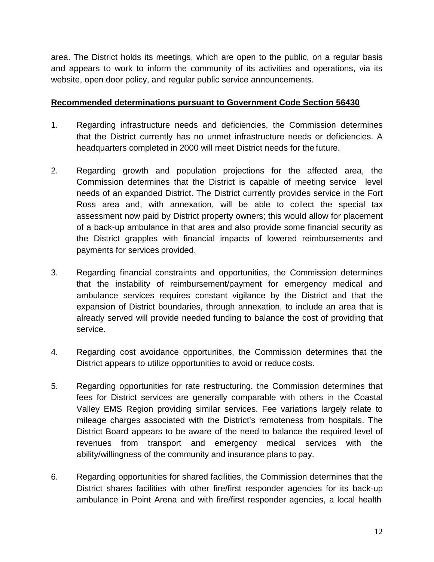area. The District holds its meetings, which are open to the public, on a regular basis and appears to work to inform the community of its activities and operations, via its website, open door policy, and regular public service announcements.

#### **Recommended determinations pursuant to Government Code Section 56430**

- 1. Regarding infrastructure needs and deficiencies, the Commission determines that the District currently has no unmet infrastructure needs or deficiencies. A headquarters completed in 2000 will meet District needs for the future.
- 2. Regarding growth and population projections for the affected area, the Commission determines that the District is capable of meeting service level needs of an expanded District. The District currently provides service in the Fort Ross area and, with annexation, will be able to collect the special tax assessment now paid by District property owners; this would allow for placement of a back-up ambulance in that area and also provide some financial security as the District grapples with financial impacts of lowered reimbursements and payments for services provided.
- 3. Regarding financial constraints and opportunities, the Commission determines that the instability of reimbursement/payment for emergency medical and ambulance services requires constant vigilance by the District and that the expansion of District boundaries, through annexation, to include an area that is already served will provide needed funding to balance the cost of providing that service.
- 4. Regarding cost avoidance opportunities, the Commission determines that the District appears to utilize opportunities to avoid or reduce costs.
- 5. Regarding opportunities for rate restructuring, the Commission determines that fees for District services are generally comparable with others in the Coastal Valley EMS Region providing similar services. Fee variations largely relate to mileage charges associated with the District's remoteness from hospitals. The District Board appears to be aware of the need to balance the required level of revenues from transport and emergency medical services with the ability/willingness of the community and insurance plans to pay.
- 6. Regarding opportunities for shared facilities, the Commission determines that the District shares facilities with other fire/first responder agencies for its back-up ambulance in Point Arena and with fire/first responder agencies, a local health